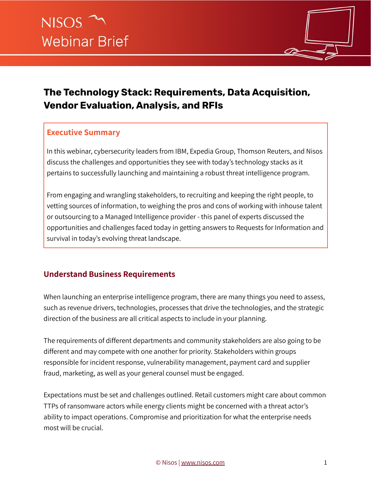

# **The Technology Stack: Requirements, Data Acquisition, Vendor Evaluation, Analysis, and RFIs**

#### **Executive Summary**

In this webinar, cybersecurity leaders from IBM, Expedia Group, Thomson Reuters, and Nisos discuss the challenges and opportunities they see with today's technology stacks as it pertains to successfully launching and maintaining a robust threat intelligence program.

From engaging and wrangling stakeholders, to recruiting and keeping the right people, to vetting sources of information, to weighing the pros and cons of working with inhouse talent or outsourcing to a Managed Intelligence provider - this panel of experts discussed the opportunities and challenges faced today in getting answers to Requests for Information and survival in today's evolving threat landscape.

### **Understand Business Requirements**

When launching an enterprise intelligence program, there are many things you need to assess, such as revenue drivers, technologies, processes that drive the technologies, and the strategic direction of the business are all critical aspects to include in your planning.

The requirements of different departments and community stakeholders are also going to be different and may compete with one another for priority. Stakeholders within groups responsible for incident response, vulnerability management, payment card and supplier fraud, marketing, as well as your general counsel must be engaged.

Expectations must be set and challenges outlined. Retail customers might care about common TTPs of ransomware actors while energy clients might be concerned with a threat actor's ability to impact operations. Compromise and prioritization for what the enterprise needs most will be crucial.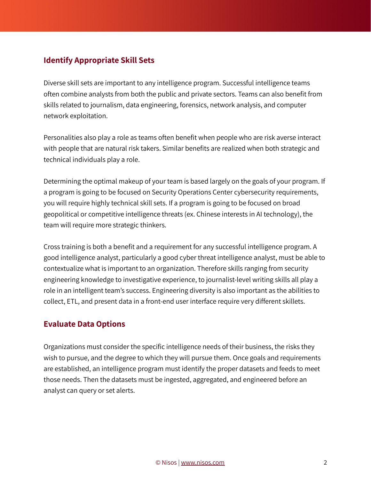#### **Identify Appropriate Skill Sets**

Diverse skill sets are important to any intelligence program. Successful intelligence teams often combine analysts from both the public and private sectors. Teams can also benefit from skills related to journalism, data engineering, forensics, network analysis, and computer network exploitation.

Personalities also play a role as teams often benefit when people who are risk averse interact with people that are natural risk takers. Similar benefits are realized when both strategic and technical individuals play a role.

Determining the optimal makeup of your team is based largely on the goals of your program. If a program is going to be focused on Security Operations Center cybersecurity requirements, you will require highly technical skill sets. If a program is going to be focused on broad geopolitical or competitive intelligence threats (ex. Chinese interests in AI technology), the team will require more strategic thinkers.

Cross training is both a benefit and a requirement for any successful intelligence program. A good intelligence analyst, particularly a good cyber threat intelligence analyst, must be able to contextualize what is important to an organization. Therefore skills ranging from security engineering knowledge to investigative experience, to journalist-level writing skills all play a role in an intelligent team's success. Engineering diversity is also important as the abilities to collect, ETL, and present data in a front-end user interface require very different skillets.

#### **Evaluate Data Options**

Organizations must consider the specific intelligence needs of their business, the risks they wish to pursue, and the degree to which they will pursue them. Once goals and requirements are established, an intelligence program must identify the proper datasets and feeds to meet those needs. Then the datasets must be ingested, aggregated, and engineered before an analyst can query or set alerts.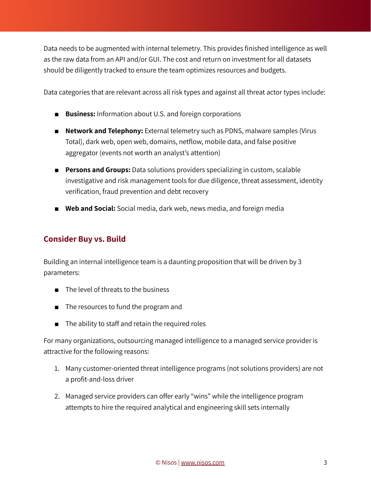Data needs to be augmented with internal telemetry. This provides finished intelligence as well as the raw data from an API and/or GUI. The cost and return on investment for all datasets should be diligently tracked to ensure the team optimizes resources and budgets.

Data categories that are relevant across all risk types and against all threat actor types include:

- **Business:** Information about U.S. and foreign corporations
- **Network and Telephony:** External telemetry such as PDNS, malware samples (Virus Total), dark web, open web, domains, netflow, mobile data, and false positive aggregator (events not worth an analyst's attention)
- **Persons and Groups:** Data solutions providers specializing in custom, scalable investigative and risk management tools for due diligence, threat assessment, identity verification, fraud prevention and debt recovery
- **Web and Social:** Social media, dark web, news media, and foreign media

#### **Consider Buy vs. Build**

Building an internal intelligence team is a daunting proposition that will be driven by 3 parameters:

- The level of threats to the business
- The resources to fund the program and
- The ability to staff and retain the required roles

For many organizations, outsourcing managed intelligence to a managed service provider is attractive for the following reasons:

- 1. Many customer-oriented threat intelligence programs (not solutions providers) are not a profit-and-loss driver
- 2. Managed service providers can offer early "wins" while the intelligence program attempts to hire the required analytical and engineering skill sets internally